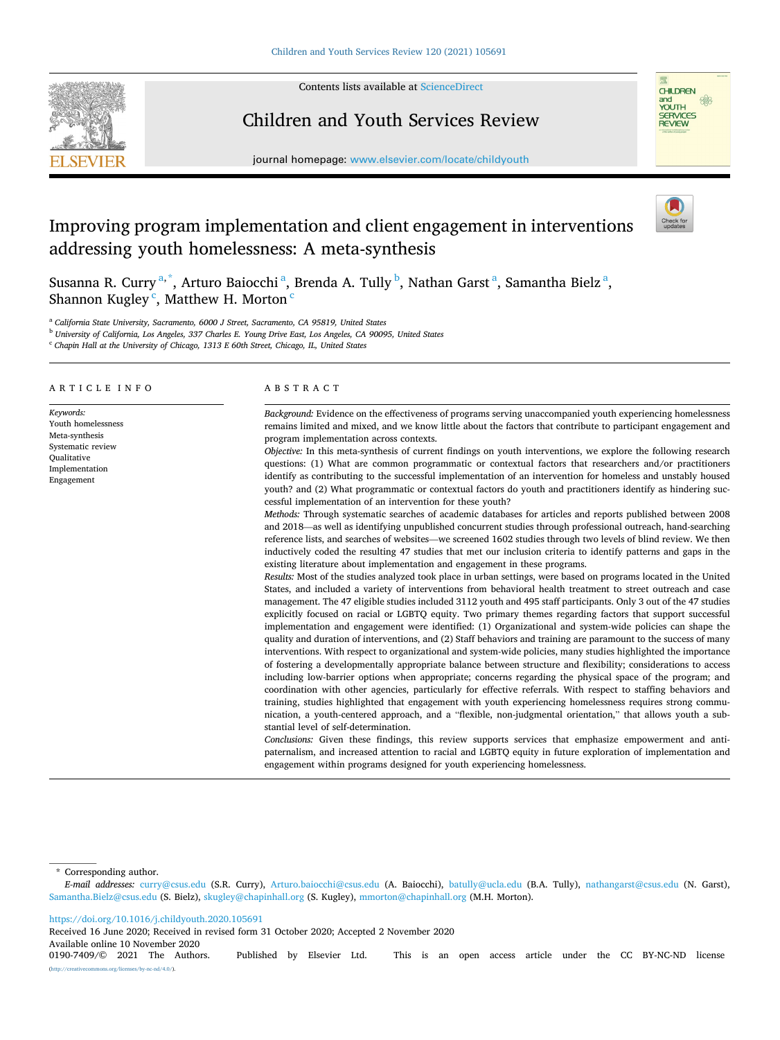

Contents lists available at [ScienceDirect](www.sciencedirect.com/science/journal/01907409)

# Children and Youth Services Review



journal homepage: [www.elsevier.com/locate/childyouth](https://www.elsevier.com/locate/childyouth)

# Improving program implementation and client engagement in interventions addressing youth homelessness: A meta-synthesis

Susanna R. Curry<sup>a,\*</sup>, Arturo Baiocchi<sup>a</sup>, Brenda A. Tully<sup>b</sup>, Nathan Garst<sup>a</sup>, Samantha Bielz<sup>a</sup>, Shannon Kugley<sup>c</sup>, Matthew H. Morton<sup>c</sup>

<sup>a</sup> *California State University, Sacramento, 6000 J Street, Sacramento, CA 95819, United States* 

<sup>b</sup> *University of California, Los Angeles, 337 Charles E. Young Drive East, Los Angeles, CA 90095, United States* 

<sup>c</sup> *Chapin Hall at the University of Chicago, 1313 E 60th Street, Chicago, IL, United States* 

# ARTICLE INFO

*Keywords:*  Youth homelessness Meta-synthesis Systematic review Qualitative Implementation Engagement

ABSTRACT

*Background:* Evidence on the effectiveness of programs serving unaccompanied youth experiencing homelessness remains limited and mixed, and we know little about the factors that contribute to participant engagement and program implementation across contexts.

*Objective:* In this meta-synthesis of current findings on youth interventions, we explore the following research questions: (1) What are common programmatic or contextual factors that researchers and/or practitioners identify as contributing to the successful implementation of an intervention for homeless and unstably housed youth? and (2) What programmatic or contextual factors do youth and practitioners identify as hindering successful implementation of an intervention for these youth?

*Methods:* Through systematic searches of academic databases for articles and reports published between 2008 and 2018—as well as identifying unpublished concurrent studies through professional outreach, hand-searching reference lists, and searches of websites—we screened 1602 studies through two levels of blind review. We then inductively coded the resulting 47 studies that met our inclusion criteria to identify patterns and gaps in the existing literature about implementation and engagement in these programs.

*Results:* Most of the studies analyzed took place in urban settings, were based on programs located in the United States, and included a variety of interventions from behavioral health treatment to street outreach and case management. The 47 eligible studies included 3112 youth and 495 staff participants. Only 3 out of the 47 studies explicitly focused on racial or LGBTQ equity. Two primary themes regarding factors that support successful implementation and engagement were identified: (1) Organizational and system-wide policies can shape the quality and duration of interventions, and (2) Staff behaviors and training are paramount to the success of many interventions. With respect to organizational and system-wide policies, many studies highlighted the importance of fostering a developmentally appropriate balance between structure and flexibility; considerations to access including low-barrier options when appropriate; concerns regarding the physical space of the program; and coordination with other agencies, particularly for effective referrals. With respect to staffing behaviors and training, studies highlighted that engagement with youth experiencing homelessness requires strong communication, a youth-centered approach, and a "flexible, non-judgmental orientation," that allows youth a substantial level of self-determination.

*Conclusions:* Given these findings, this review supports services that emphasize empowerment and antipaternalism, and increased attention to racial and LGBTQ equity in future exploration of implementation and engagement within programs designed for youth experiencing homelessness.

\* Corresponding author.

*E-mail addresses:* [curry@csus.edu](mailto:curry@csus.edu) (S.R. Curry), [Arturo.baiocchi@csus.edu](mailto:Arturo.baiocchi@csus.edu) (A. Baiocchi), [batully@ucla.edu](mailto:batully@ucla.edu) (B.A. Tully), [nathangarst@csus.edu](mailto:nathangarst@csus.edu) (N. Garst), [Samantha.Bielz@csus.edu](mailto:Samantha.Bielz@csus.edu) (S. Bielz), [skugley@chapinhall.org](mailto:skugley@chapinhall.org) (S. Kugley), [mmorton@chapinhall.org](mailto:mmorton@chapinhall.org) (M.H. Morton).

<https://doi.org/10.1016/j.childyouth.2020.105691>

Received 16 June 2020; Received in revised form 31 October 2020; Accepted 2 November 2020

Available online 10 November 2020<br>0190-7409/© 2021 The Authors.

Published by Elsevier Ltd. This is an open access article under the CC BY-NC-ND license (http://www.nc-nd/4.0/).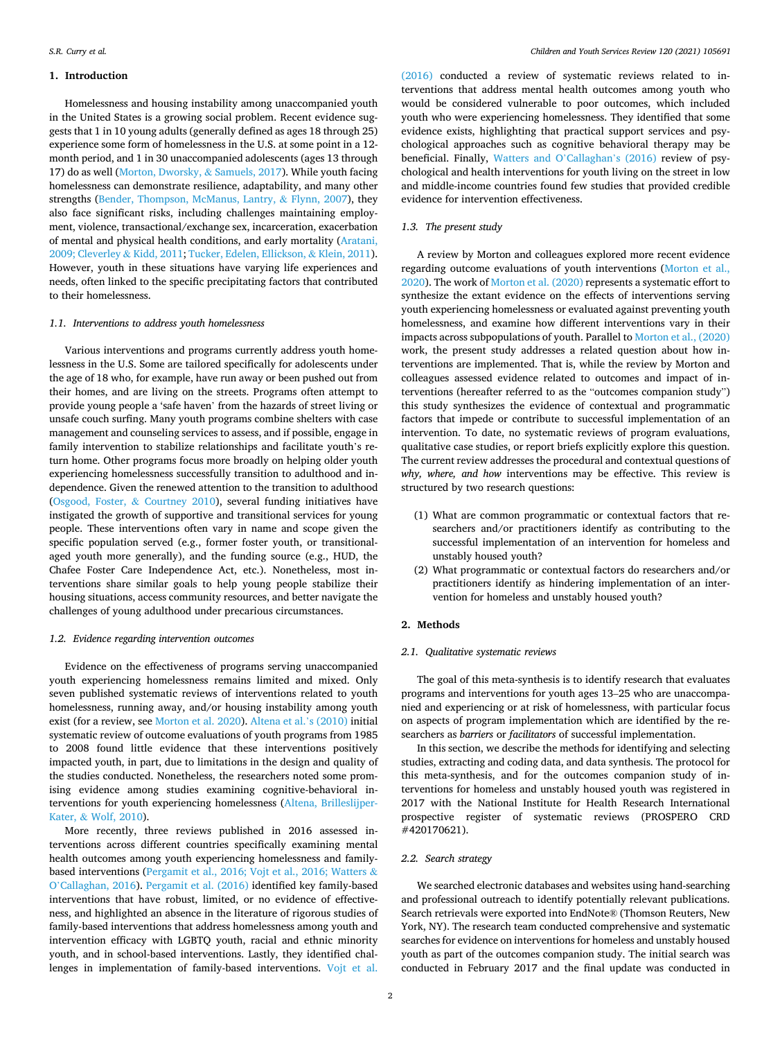# **1. Introduction**

Homelessness and housing instability among unaccompanied youth in the United States is a growing social problem. Recent evidence suggests that 1 in 10 young adults (generally defined as ages 18 through 25) experience some form of homelessness in the U.S. at some point in a 12 month period, and 1 in 30 unaccompanied adolescents (ages 13 through 17) do as well [\(Morton, Dworsky,](#page-11-0) & Samuels, 2017). While youth facing homelessness can demonstrate resilience, adaptability, and many other strengths [\(Bender, Thompson, McManus, Lantry,](#page-10-0) & Flynn, 2007), they also face significant risks, including challenges maintaining employment, violence, transactional/exchange sex, incarceration, exacerbation of mental and physical health conditions, and early mortality [\(Aratani,](#page-10-0)  [2009; Cleverley](#page-10-0) & Kidd, 2011; [Tucker, Edelen, Ellickson,](#page-11-0) & Klein, 2011). However, youth in these situations have varying life experiences and needs, often linked to the specific precipitating factors that contributed to their homelessness.

# *1.1. Interventions to address youth homelessness*

Various interventions and programs currently address youth homelessness in the U.S. Some are tailored specifically for adolescents under the age of 18 who, for example, have run away or been pushed out from their homes, and are living on the streets. Programs often attempt to provide young people a 'safe haven' from the hazards of street living or unsafe couch surfing. Many youth programs combine shelters with case management and counseling services to assess, and if possible, engage in family intervention to stabilize relationships and facilitate youth's return home. Other programs focus more broadly on helping older youth experiencing homelessness successfully transition to adulthood and independence. Given the renewed attention to the transition to adulthood ([Osgood, Foster,](#page-11-0) & Courtney 2010), several funding initiatives have instigated the growth of supportive and transitional services for young people. These interventions often vary in name and scope given the specific population served (e.g., former foster youth, or transitionalaged youth more generally), and the funding source (e.g., HUD, the Chafee Foster Care Independence Act, etc.). Nonetheless, most interventions share similar goals to help young people stabilize their housing situations, access community resources, and better navigate the challenges of young adulthood under precarious circumstances.

# *1.2. Evidence regarding intervention outcomes*

Evidence on the effectiveness of programs serving unaccompanied youth experiencing homelessness remains limited and mixed. Only seven published systematic reviews of interventions related to youth homelessness, running away, and/or housing instability among youth exist (for a review, see [Morton et al. 2020](#page-11-0)). [Altena et al.](#page-10-0)'s (2010) initial systematic review of outcome evaluations of youth programs from 1985 to 2008 found little evidence that these interventions positively impacted youth, in part, due to limitations in the design and quality of the studies conducted. Nonetheless, the researchers noted some promising evidence among studies examining cognitive-behavioral interventions for youth experiencing homelessness [\(Altena, Brilleslijper-](#page-10-0)Kater, & [Wolf, 2010\)](#page-10-0).

More recently, three reviews published in 2016 assessed interventions across different countries specifically examining mental health outcomes among youth experiencing homelessness and familybased interventions ([Pergamit et al., 2016; Vojt et al., 2016; Watters](#page-11-0) & O'[Callaghan, 2016\)](#page-11-0). [Pergamit et al. \(2016\)](#page-11-0) identified key family-based interventions that have robust, limited, or no evidence of effectiveness, and highlighted an absence in the literature of rigorous studies of family-based interventions that address homelessness among youth and intervention efficacy with LGBTQ youth, racial and ethnic minority youth, and in school-based interventions. Lastly, they identified challenges in implementation of family-based interventions. [Vojt et al.](#page-11-0) 

[\(2016\)](#page-11-0) conducted a review of systematic reviews related to interventions that address mental health outcomes among youth who would be considered vulnerable to poor outcomes, which included youth who were experiencing homelessness. They identified that some evidence exists, highlighting that practical support services and psychological approaches such as cognitive behavioral therapy may be beneficial. Finally, [Watters and O](#page-11-0)'Callaghan's (2016) review of psychological and health interventions for youth living on the street in low and middle-income countries found few studies that provided credible evidence for intervention effectiveness.

# *1.3. The present study*

A review by Morton and colleagues explored more recent evidence regarding outcome evaluations of youth interventions ([Morton et al.,](#page-11-0)  [2020\)](#page-11-0). The work of [Morton et al. \(2020\)](#page-11-0) represents a systematic effort to synthesize the extant evidence on the effects of interventions serving youth experiencing homelessness or evaluated against preventing youth homelessness, and examine how different interventions vary in their impacts across subpopulations of youth. Parallel to [Morton et al., \(2020\)](#page-11-0)  work, the present study addresses a related question about how interventions are implemented. That is, while the review by Morton and colleagues assessed evidence related to outcomes and impact of interventions (hereafter referred to as the "outcomes companion study") this study synthesizes the evidence of contextual and programmatic factors that impede or contribute to successful implementation of an intervention. To date, no systematic reviews of program evaluations, qualitative case studies, or report briefs explicitly explore this question. The current review addresses the procedural and contextual questions of *why, where, and how* interventions may be effective. This review is structured by two research questions:

- (1) What are common programmatic or contextual factors that researchers and/or practitioners identify as contributing to the successful implementation of an intervention for homeless and unstably housed youth?
- (2) What programmatic or contextual factors do researchers and/or practitioners identify as hindering implementation of an intervention for homeless and unstably housed youth?

# **2. Methods**

# *2.1. Qualitative systematic reviews*

The goal of this meta-synthesis is to identify research that evaluates programs and interventions for youth ages 13–25 who are unaccompanied and experiencing or at risk of homelessness, with particular focus on aspects of program implementation which are identified by the researchers as *barriers* or *facilitators* of successful implementation.

In this section, we describe the methods for identifying and selecting studies, extracting and coding data, and data synthesis. The protocol for this meta-synthesis, and for the outcomes companion study of interventions for homeless and unstably housed youth was registered in 2017 with the National Institute for Health Research International prospective register of systematic reviews (PROSPERO CRD #420170621).

## *2.2. Search strategy*

We searched electronic databases and websites using hand-searching and professional outreach to identify potentially relevant publications. Search retrievals were exported into EndNote® (Thomson Reuters, New York, NY). The research team conducted comprehensive and systematic searches for evidence on interventions for homeless and unstably housed youth as part of the outcomes companion study. The initial search was conducted in February 2017 and the final update was conducted in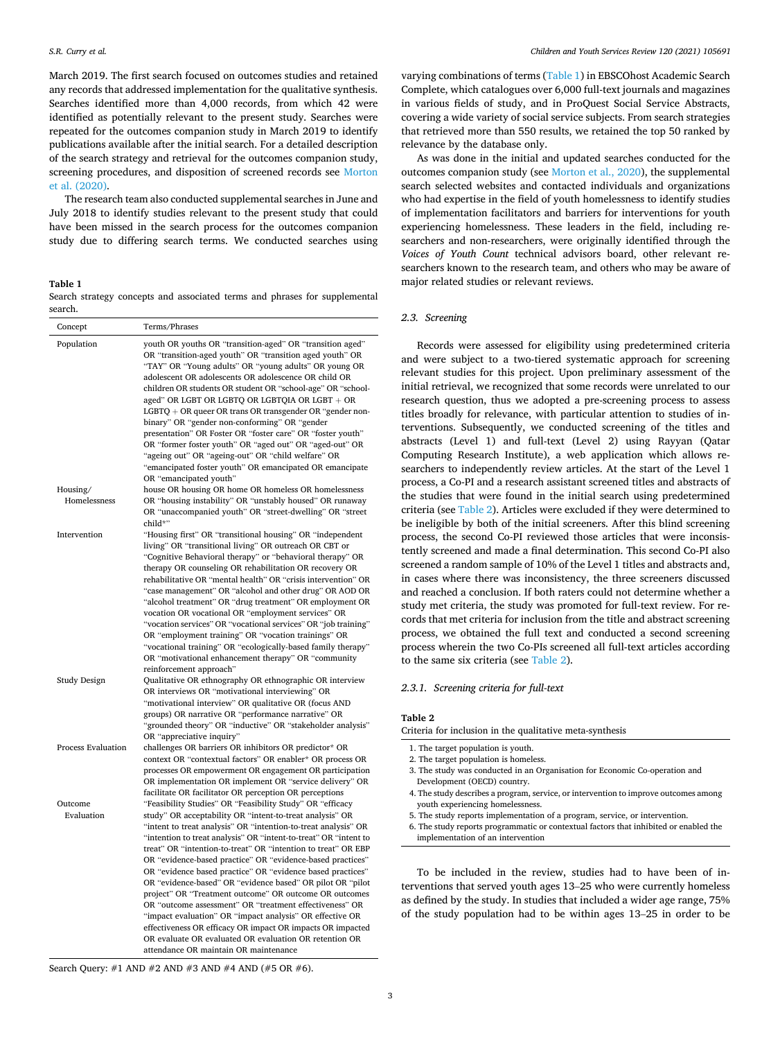March 2019. The first search focused on outcomes studies and retained any records that addressed implementation for the qualitative synthesis. Searches identified more than 4,000 records, from which 42 were identified as potentially relevant to the present study. Searches were repeated for the outcomes companion study in March 2019 to identify publications available after the initial search. For a detailed description of the search strategy and retrieval for the outcomes companion study, screening procedures, and disposition of screened records see [Morton](#page-11-0)  [et al. \(2020\).](#page-11-0)

The research team also conducted supplemental searches in June and July 2018 to identify studies relevant to the present study that could have been missed in the search process for the outcomes companion study due to differing search terms. We conducted searches using

#### **Table 1**

Search strategy concepts and associated terms and phrases for supplemental search.

| Concept                   | Terms/Phrases                                                                                                                                                                                                                                                                                                                                                                                                                                                                                                                                                                                                                                                                                                                                                                                                                                                            |
|---------------------------|--------------------------------------------------------------------------------------------------------------------------------------------------------------------------------------------------------------------------------------------------------------------------------------------------------------------------------------------------------------------------------------------------------------------------------------------------------------------------------------------------------------------------------------------------------------------------------------------------------------------------------------------------------------------------------------------------------------------------------------------------------------------------------------------------------------------------------------------------------------------------|
| Population                | youth OR youths OR "transition-aged" OR "transition aged"<br>OR "transition-aged youth" OR "transition aged youth" OR<br>"TAY" OR "Young adults" OR "young adults" OR young OR<br>adolescent OR adolescents OR adolescence OR child OR<br>children OR students OR student OR "school-age" OR "school-<br>aged" OR LGBT OR LGBTQ OR LGBTQIA OR LGBT + OR<br>LGBTQ + OR queer OR trans OR transgender OR "gender non-<br>binary" OR "gender non-conforming" OR "gender<br>presentation" OR Foster OR "foster care" OR "foster youth"<br>OR "former foster youth" OR "aged out" OR "aged-out" OR<br>"ageing out" OR "ageing-out" OR "child welfare" OR<br>"emancipated foster youth" OR emancipated OR emancipate<br>OR "emancipated youth"                                                                                                                                 |
| Housing/                  | house OR housing OR home OR homeless OR homelessness                                                                                                                                                                                                                                                                                                                                                                                                                                                                                                                                                                                                                                                                                                                                                                                                                     |
| Homelessness              | OR "housing instability" OR "unstably housed" OR runaway<br>OR "unaccompanied youth" OR "street-dwelling" OR "street<br>child*"                                                                                                                                                                                                                                                                                                                                                                                                                                                                                                                                                                                                                                                                                                                                          |
| Intervention              | "Housing first" OR "transitional housing" OR "independent<br>living" OR "transitional living" OR outreach OR CBT or<br>"Cognitive Behavioral therapy" or "behavioral therapy" OR<br>therapy OR counseling OR rehabilitation OR recovery OR<br>rehabilitative OR "mental health" OR "crisis intervention" OR<br>"case management" OR "alcohol and other drug" OR AOD OR<br>"alcohol treatment" OR "drug treatment" OR employment OR<br>vocation OR vocational OR "employment services" OR<br>"vocation services" OR "vocational services" OR "job training"<br>OR "employment training" OR "vocation trainings" OR<br>"vocational training" OR "ecologically-based family therapy"<br>OR "motivational enhancement therapy" OR "community<br>reinforcement approach"                                                                                                      |
| Study Design              | Qualitative OR ethnography OR ethnographic OR interview<br>OR interviews OR "motivational interviewing" OR<br>"motivational interview" OR qualitative OR (focus AND<br>groups) OR narrative OR "performance narrative" OR<br>"grounded theory" OR "inductive" OR "stakeholder analysis"<br>OR "appreciative inquiry"                                                                                                                                                                                                                                                                                                                                                                                                                                                                                                                                                     |
| <b>Process Evaluation</b> | challenges OR barriers OR inhibitors OR predictor* OR<br>context OR "contextual factors" OR enabler* OR process OR<br>processes OR empowerment OR engagement OR participation<br>OR implementation OR implement OR "service delivery" OR<br>facilitate OR facilitator OR perception OR perceptions                                                                                                                                                                                                                                                                                                                                                                                                                                                                                                                                                                       |
| Outcome<br>Evaluation     | "Feasibility Studies" OR "Feasibility Study" OR "efficacy<br>study" OR acceptability OR "intent-to-treat analysis" OR<br>"intent to treat analysis" OR "intention-to-treat analysis" OR<br>"intention to treat analysis" OR "intent-to-treat" OR "intent to<br>treat" OR "intention-to-treat" OR "intention to treat" OR EBP<br>OR "evidence-based practice" OR "evidence-based practices"<br>OR "evidence based practice" OR "evidence based practices"<br>OR "evidence-based" OR "evidence based" OR pilot OR "pilot<br>project" OR "Treatment outcome" OR outcome OR outcomes<br>OR "outcome assessment" OR "treatment effectiveness" OR<br>"impact evaluation" OR "impact analysis" OR effective OR<br>effectiveness OR efficacy OR impact OR impacts OR impacted<br>OR evaluate OR evaluated OR evaluation OR retention OR<br>attendance OR maintain OR maintenance |

varying combinations of terms (Table 1) in EBSCOhost Academic Search Complete, which catalogues over 6,000 full-text journals and magazines in various fields of study, and in ProQuest Social Service Abstracts, covering a wide variety of social service subjects. From search strategies that retrieved more than 550 results, we retained the top 50 ranked by relevance by the database only.

As was done in the initial and updated searches conducted for the outcomes companion study (see [Morton et al., 2020\)](#page-11-0), the supplemental search selected websites and contacted individuals and organizations who had expertise in the field of youth homelessness to identify studies of implementation facilitators and barriers for interventions for youth experiencing homelessness. These leaders in the field, including researchers and non-researchers, were originally identified through the *Voices of Youth Count* technical advisors board, other relevant researchers known to the research team, and others who may be aware of major related studies or relevant reviews.

# *2.3. Screening*

Records were assessed for eligibility using predetermined criteria and were subject to a two-tiered systematic approach for screening relevant studies for this project. Upon preliminary assessment of the initial retrieval, we recognized that some records were unrelated to our research question, thus we adopted a pre-screening process to assess titles broadly for relevance, with particular attention to studies of interventions. Subsequently, we conducted screening of the titles and abstracts (Level 1) and full-text (Level 2) using Rayyan (Qatar Computing Research Institute), a web application which allows researchers to independently review articles. At the start of the Level 1 process, a Co-PI and a research assistant screened titles and abstracts of the studies that were found in the initial search using predetermined criteria (see Table 2). Articles were excluded if they were determined to be ineligible by both of the initial screeners. After this blind screening process, the second Co-PI reviewed those articles that were inconsistently screened and made a final determination. This second Co-PI also screened a random sample of 10% of the Level 1 titles and abstracts and, in cases where there was inconsistency, the three screeners discussed and reached a conclusion. If both raters could not determine whether a study met criteria, the study was promoted for full-text review. For records that met criteria for inclusion from the title and abstract screening process, we obtained the full text and conducted a second screening process wherein the two Co-PIs screened all full-text articles according to the same six criteria (see Table 2).

# *2.3.1. Screening criteria for full-text*

#### **Table 2**

Criteria for inclusion in the qualitative meta-synthesis

- 3. The study was conducted in an Organisation for Economic Co-operation and Development (OECD) country.
- 4. The study describes a program, service, or intervention to improve outcomes among youth experiencing homelessness.
- 5. The study reports implementation of a program, service, or intervention.

6. The study reports programmatic or contextual factors that inhibited or enabled the implementation of an intervention

To be included in the review, studies had to have been of interventions that served youth ages 13–25 who were currently homeless as defined by the study. In studies that included a wider age range, 75% of the study population had to be within ages 13–25 in order to be

Search Query: #1 AND #2 AND #3 AND #4 AND (#5 OR #6).

<sup>1.</sup> The target population is youth.

<sup>2.</sup> The target population is homeless.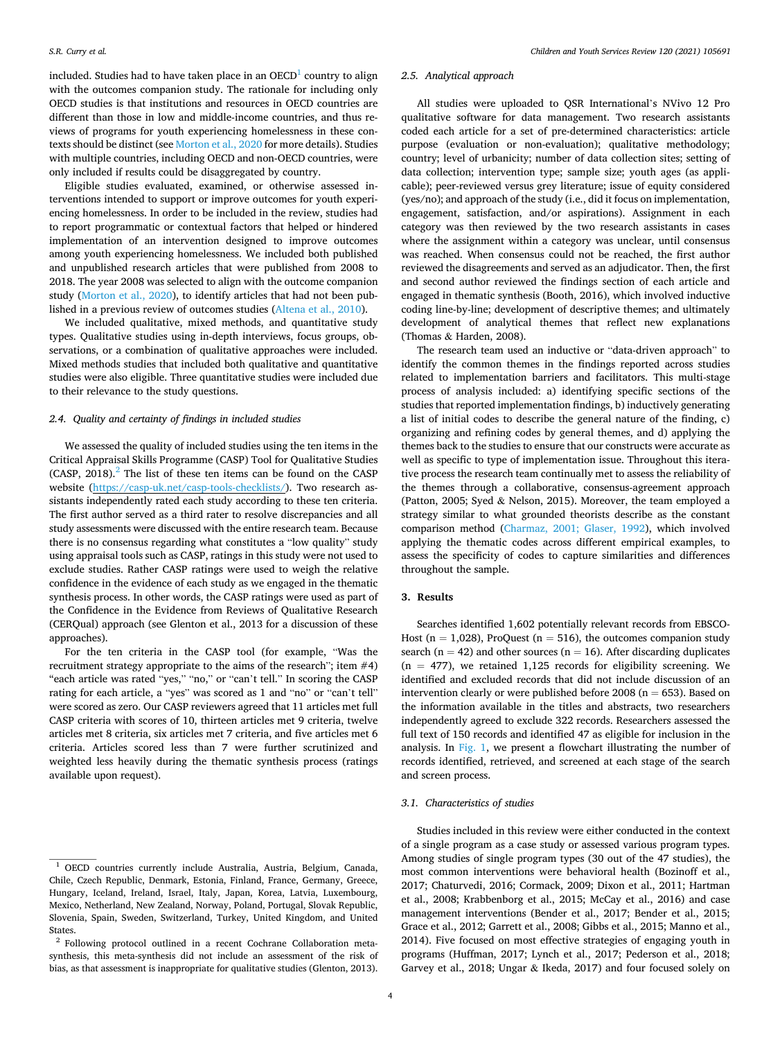included. Studies had to have taken place in an  $OECD<sup>1</sup>$  country to align with the outcomes companion study. The rationale for including only OECD studies is that institutions and resources in OECD countries are different than those in low and middle-income countries, and thus reviews of programs for youth experiencing homelessness in these contexts should be distinct (see [Morton et al., 2020](#page-11-0) for more details). Studies with multiple countries, including OECD and non-OECD countries, were only included if results could be disaggregated by country.

Eligible studies evaluated, examined, or otherwise assessed interventions intended to support or improve outcomes for youth experiencing homelessness. In order to be included in the review, studies had to report programmatic or contextual factors that helped or hindered implementation of an intervention designed to improve outcomes among youth experiencing homelessness. We included both published and unpublished research articles that were published from 2008 to 2018. The year 2008 was selected to align with the outcome companion study [\(Morton et al., 2020\)](#page-11-0), to identify articles that had not been published in a previous review of outcomes studies [\(Altena et al., 2010\)](#page-10-0).

We included qualitative, mixed methods, and quantitative study types. Qualitative studies using in-depth interviews, focus groups, observations, or a combination of qualitative approaches were included. Mixed methods studies that included both qualitative and quantitative studies were also eligible. Three quantitative studies were included due to their relevance to the study questions.

# *2.4. Quality and certainty of findings in included studies*

We assessed the quality of included studies using the ten items in the Critical Appraisal Skills Programme (CASP) Tool for Qualitative Studies  $(CASP, 2018).$ <sup>2</sup> The list of these ten items can be found on the CASP website ([https://casp-uk.net/casp-tools-checklists/\)](https://casp-uk.net/casp-tools-checklists/). Two research assistants independently rated each study according to these ten criteria. The first author served as a third rater to resolve discrepancies and all study assessments were discussed with the entire research team. Because there is no consensus regarding what constitutes a "low quality" study using appraisal tools such as CASP, ratings in this study were not used to exclude studies. Rather CASP ratings were used to weigh the relative confidence in the evidence of each study as we engaged in the thematic synthesis process. In other words, the CASP ratings were used as part of the Confidence in the Evidence from Reviews of Qualitative Research (CERQual) approach (see Glenton et al., 2013 for a discussion of these approaches).

For the ten criteria in the CASP tool (for example, "Was the recruitment strategy appropriate to the aims of the research"; item #4) "each article was rated "yes," "no," or "can't tell." In scoring the CASP rating for each article, a "yes" was scored as 1 and "no" or "can't tell" were scored as zero. Our CASP reviewers agreed that 11 articles met full CASP criteria with scores of 10, thirteen articles met 9 criteria, twelve articles met 8 criteria, six articles met 7 criteria, and five articles met 6 criteria. Articles scored less than 7 were further scrutinized and weighted less heavily during the thematic synthesis process (ratings available upon request).

## *2.5. Analytical approach*

All studies were uploaded to QSR International's NVivo 12 Pro qualitative software for data management. Two research assistants coded each article for a set of pre-determined characteristics: article purpose (evaluation or non-evaluation); qualitative methodology; country; level of urbanicity; number of data collection sites; setting of data collection; intervention type; sample size; youth ages (as applicable); peer-reviewed versus grey literature; issue of equity considered (yes/no); and approach of the study (i.e., did it focus on implementation, engagement, satisfaction, and/or aspirations). Assignment in each category was then reviewed by the two research assistants in cases where the assignment within a category was unclear, until consensus was reached. When consensus could not be reached, the first author reviewed the disagreements and served as an adjudicator. Then, the first and second author reviewed the findings section of each article and engaged in thematic synthesis (Booth, 2016), which involved inductive coding line-by-line; development of descriptive themes; and ultimately development of analytical themes that reflect new explanations (Thomas & Harden, 2008).

The research team used an inductive or "data-driven approach" to identify the common themes in the findings reported across studies related to implementation barriers and facilitators. This multi-stage process of analysis included: a) identifying specific sections of the studies that reported implementation findings, b) inductively generating a list of initial codes to describe the general nature of the finding, c) organizing and refining codes by general themes, and d) applying the themes back to the studies to ensure that our constructs were accurate as well as specific to type of implementation issue. Throughout this iterative process the research team continually met to assess the reliability of the themes through a collaborative, consensus-agreement approach (Patton, 2005; Syed & Nelson, 2015). Moreover, the team employed a strategy similar to what grounded theorists describe as the constant comparison method [\(Charmaz, 2001; Glaser, 1992\)](#page-10-0), which involved applying the thematic codes across different empirical examples, to assess the specificity of codes to capture similarities and differences throughout the sample.

# **3. Results**

Searches identified 1,602 potentially relevant records from EBSCO-Host ( $n = 1,028$ ), ProQuest ( $n = 516$ ), the outcomes companion study search ( $n = 42$ ) and other sources ( $n = 16$ ). After discarding duplicates  $(n = 477)$ , we retained 1,125 records for eligibility screening. We identified and excluded records that did not include discussion of an intervention clearly or were published before 2008 ( $n = 653$ ). Based on the information available in the titles and abstracts, two researchers independently agreed to exclude 322 records. Researchers assessed the full text of 150 records and identified 47 as eligible for inclusion in the analysis. In [Fig. 1](#page-4-0), we present a flowchart illustrating the number of records identified, retrieved, and screened at each stage of the search and screen process.

# *3.1. Characteristics of studies*

Studies included in this review were either conducted in the context of a single program as a case study or assessed various program types. Among studies of single program types (30 out of the 47 studies), the most common interventions were behavioral health (Bozinoff et al., 2017; Chaturvedi, 2016; Cormack, 2009; Dixon et al., 2011; Hartman et al., 2008; Krabbenborg et al., 2015; McCay et al., 2016) and case management interventions (Bender et al., 2017; Bender et al., 2015; Grace et al., 2012; Garrett et al., 2008; Gibbs et al., 2015; Manno et al., 2014). Five focused on most effective strategies of engaging youth in programs (Huffman, 2017; Lynch et al., 2017; Pederson et al., 2018; Garvey et al., 2018; Ungar & Ikeda, 2017) and four focused solely on

<sup>1</sup> OECD countries currently include Australia, Austria, Belgium, Canada, Chile, Czech Republic, Denmark, Estonia, Finland, France, Germany, Greece, Hungary, Iceland, Ireland, Israel, Italy, Japan, Korea, Latvia, Luxembourg, Mexico, Netherland, New Zealand, Norway, Poland, Portugal, Slovak Republic, Slovenia, Spain, Sweden, Switzerland, Turkey, United Kingdom, and United States.

<sup>2</sup> Following protocol outlined in a recent Cochrane Collaboration metasynthesis, this meta-synthesis did not include an assessment of the risk of bias, as that assessment is inappropriate for qualitative studies (Glenton, 2013).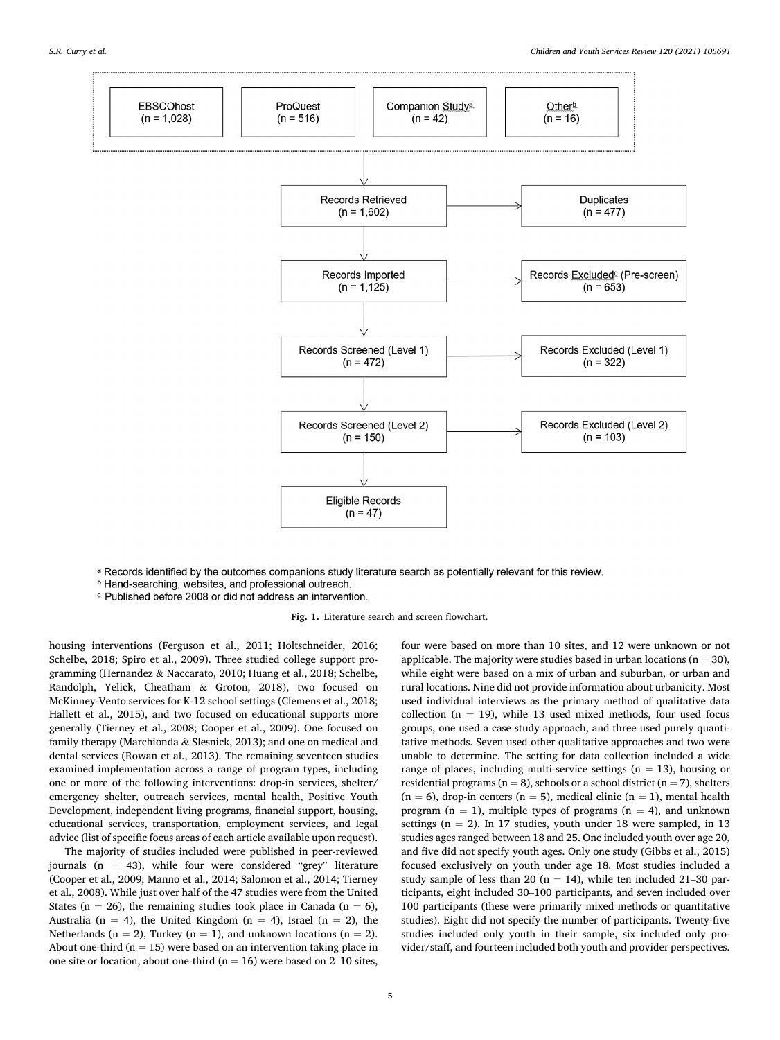<span id="page-4-0"></span>

a Records identified by the outcomes companions study literature search as potentially relevant for this review.

- <sup>b</sup> Hand-searching, websites, and professional outreach.
- c Published before 2008 or did not address an intervention.

**Fig. 1.** Literature search and screen flowchart.

housing interventions (Ferguson et al., 2011; Holtschneider, 2016; Schelbe, 2018; Spiro et al., 2009). Three studied college support programming (Hernandez & Naccarato, 2010; Huang et al., 2018; Schelbe, Randolph, Yelick, Cheatham & Groton, 2018), two focused on McKinney-Vento services for K-12 school settings (Clemens et al., 2018; Hallett et al., 2015), and two focused on educational supports more generally (Tierney et al., 2008; Cooper et al., 2009). One focused on family therapy (Marchionda & Slesnick, 2013); and one on medical and dental services (Rowan et al., 2013). The remaining seventeen studies examined implementation across a range of program types, including one or more of the following interventions: drop-in services, shelter/ emergency shelter, outreach services, mental health, Positive Youth Development, independent living programs, financial support, housing, educational services, transportation, employment services, and legal advice (list of specific focus areas of each article available upon request).

The majority of studies included were published in peer-reviewed journals  $(n = 43)$ , while four were considered "grey" literature (Cooper et al., 2009; Manno et al., 2014; Salomon et al., 2014; Tierney et al., 2008). While just over half of the 47 studies were from the United States ( $n = 26$ ), the remaining studies took place in Canada ( $n = 6$ ), Australia (n = 4), the United Kingdom (n = 4), Israel (n = 2), the Netherlands ( $n = 2$ ), Turkey ( $n = 1$ ), and unknown locations ( $n = 2$ ). About one-third ( $n = 15$ ) were based on an intervention taking place in one site or location, about one-third ( $n = 16$ ) were based on 2–10 sites,

four were based on more than 10 sites, and 12 were unknown or not applicable. The majority were studies based in urban locations ( $n = 30$ ), while eight were based on a mix of urban and suburban, or urban and rural locations. Nine did not provide information about urbanicity. Most used individual interviews as the primary method of qualitative data collection ( $n = 19$ ), while 13 used mixed methods, four used focus groups, one used a case study approach, and three used purely quantitative methods. Seven used other qualitative approaches and two were unable to determine. The setting for data collection included a wide range of places, including multi-service settings  $(n = 13)$ , housing or residential programs ( $n = 8$ ), schools or a school district ( $n = 7$ ), shelters  $(n = 6)$ , drop-in centers  $(n = 5)$ , medical clinic  $(n = 1)$ , mental health program ( $n = 1$ ), multiple types of programs ( $n = 4$ ), and unknown settings ( $n = 2$ ). In 17 studies, youth under 18 were sampled, in 13 studies ages ranged between 18 and 25. One included youth over age 20, and five did not specify youth ages. Only one study (Gibbs et al., 2015) focused exclusively on youth under age 18. Most studies included a study sample of less than 20 ( $n = 14$ ), while ten included 21–30 participants, eight included 30–100 participants, and seven included over 100 participants (these were primarily mixed methods or quantitative studies). Eight did not specify the number of participants. Twenty-five studies included only youth in their sample, six included only provider/staff, and fourteen included both youth and provider perspectives.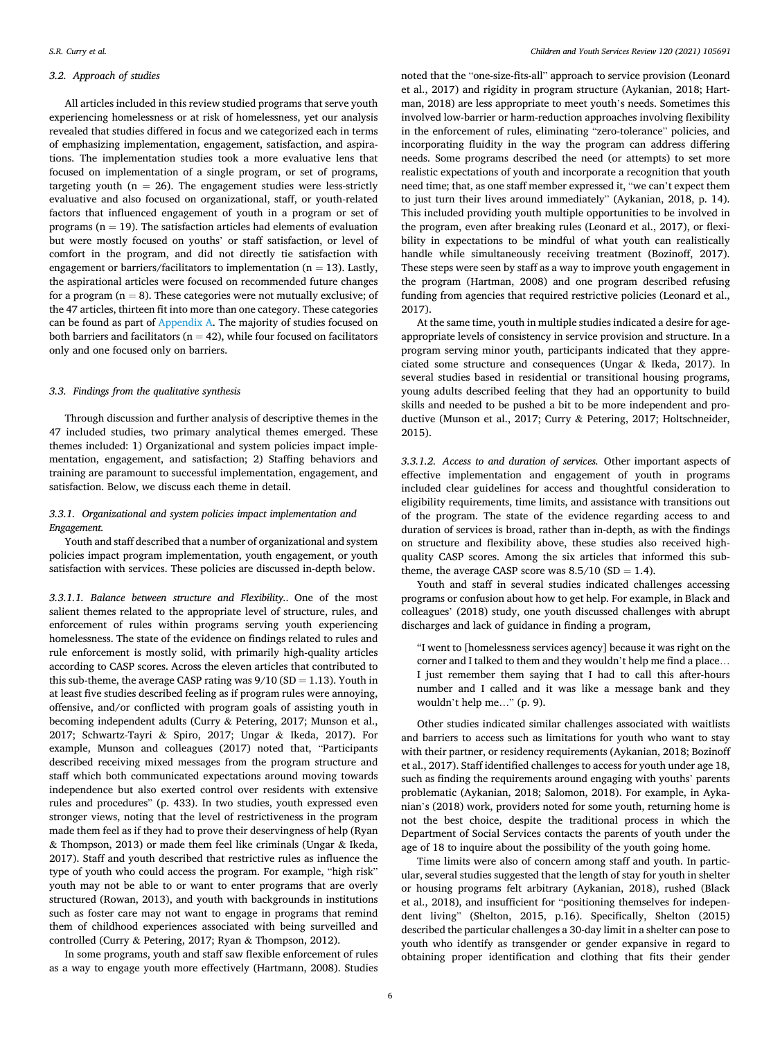## *3.2. Approach of studies*

All articles included in this review studied programs that serve youth experiencing homelessness or at risk of homelessness, yet our analysis revealed that studies differed in focus and we categorized each in terms of emphasizing implementation, engagement, satisfaction, and aspirations. The implementation studies took a more evaluative lens that focused on implementation of a single program, or set of programs, targeting youth ( $n = 26$ ). The engagement studies were less-strictly evaluative and also focused on organizational, staff, or youth-related factors that influenced engagement of youth in a program or set of programs ( $n = 19$ ). The satisfaction articles had elements of evaluation but were mostly focused on youths' or staff satisfaction, or level of comfort in the program, and did not directly tie satisfaction with engagement or barriers/facilitators to implementation ( $n = 13$ ). Lastly, the aspirational articles were focused on recommended future changes for a program  $(n = 8)$ . These categories were not mutually exclusive; of the 47 articles, thirteen fit into more than one category. These categories can be found as part of Appendix A. The majority of studies focused on both barriers and facilitators ( $n = 42$ ), while four focused on facilitators only and one focused only on barriers.

# *3.3. Findings from the qualitative synthesis*

Through discussion and further analysis of descriptive themes in the 47 included studies, two primary analytical themes emerged. These themes included: 1) Organizational and system policies impact implementation, engagement, and satisfaction; 2) Staffing behaviors and training are paramount to successful implementation, engagement, and satisfaction. Below, we discuss each theme in detail.

# *3.3.1. Organizational and system policies impact implementation and Engagement.*

Youth and staff described that a number of organizational and system policies impact program implementation, youth engagement, or youth satisfaction with services. These policies are discussed in-depth below.

*3.3.1.1. Balance between structure and Flexibility..* One of the most salient themes related to the appropriate level of structure, rules, and enforcement of rules within programs serving youth experiencing homelessness. The state of the evidence on findings related to rules and rule enforcement is mostly solid, with primarily high-quality articles according to CASP scores. Across the eleven articles that contributed to this sub-theme, the average CASP rating was  $9/10$  (SD = 1.13). Youth in at least five studies described feeling as if program rules were annoying, offensive, and/or conflicted with program goals of assisting youth in becoming independent adults (Curry & Petering, 2017; Munson et al., 2017; Schwartz-Tayri & Spiro, 2017; Ungar & Ikeda, 2017). For example, Munson and colleagues (2017) noted that, "Participants described receiving mixed messages from the program structure and staff which both communicated expectations around moving towards independence but also exerted control over residents with extensive rules and procedures" (p. 433). In two studies, youth expressed even stronger views, noting that the level of restrictiveness in the program made them feel as if they had to prove their deservingness of help (Ryan & Thompson, 2013) or made them feel like criminals (Ungar & Ikeda, 2017). Staff and youth described that restrictive rules as influence the type of youth who could access the program. For example, "high risk" youth may not be able to or want to enter programs that are overly structured (Rowan, 2013), and youth with backgrounds in institutions such as foster care may not want to engage in programs that remind them of childhood experiences associated with being surveilled and controlled (Curry & Petering, 2017; Ryan & Thompson, 2012).

In some programs, youth and staff saw flexible enforcement of rules as a way to engage youth more effectively (Hartmann, 2008). Studies

noted that the "one-size-fits-all" approach to service provision (Leonard et al., 2017) and rigidity in program structure (Aykanian, 2018; Hartman, 2018) are less appropriate to meet youth's needs. Sometimes this involved low-barrier or harm-reduction approaches involving flexibility in the enforcement of rules, eliminating "zero-tolerance" policies, and incorporating fluidity in the way the program can address differing needs. Some programs described the need (or attempts) to set more realistic expectations of youth and incorporate a recognition that youth need time; that, as one staff member expressed it, "we can't expect them to just turn their lives around immediately" (Aykanian, 2018, p. 14). This included providing youth multiple opportunities to be involved in the program, even after breaking rules (Leonard et al., 2017), or flexibility in expectations to be mindful of what youth can realistically handle while simultaneously receiving treatment (Bozinoff, 2017). These steps were seen by staff as a way to improve youth engagement in the program (Hartman, 2008) and one program described refusing funding from agencies that required restrictive policies (Leonard et al., 2017).

At the same time, youth in multiple studies indicated a desire for ageappropriate levels of consistency in service provision and structure. In a program serving minor youth, participants indicated that they appreciated some structure and consequences (Ungar & Ikeda, 2017). In several studies based in residential or transitional housing programs, young adults described feeling that they had an opportunity to build skills and needed to be pushed a bit to be more independent and productive (Munson et al., 2017; Curry & Petering, 2017; Holtschneider, 2015).

*3.3.1.2. Access to and duration of services.* Other important aspects of effective implementation and engagement of youth in programs included clear guidelines for access and thoughtful consideration to eligibility requirements, time limits, and assistance with transitions out of the program. The state of the evidence regarding access to and duration of services is broad, rather than in-depth, as with the findings on structure and flexibility above, these studies also received highquality CASP scores. Among the six articles that informed this subtheme, the average CASP score was  $8.5/10$  (SD = 1.4).

Youth and staff in several studies indicated challenges accessing programs or confusion about how to get help. For example, in Black and colleagues' (2018) study, one youth discussed challenges with abrupt discharges and lack of guidance in finding a program,

"I went to [homelessness services agency] because it was right on the corner and I talked to them and they wouldn't help me find a place… I just remember them saying that I had to call this after-hours number and I called and it was like a message bank and they wouldn't help me…" (p. 9).

Other studies indicated similar challenges associated with waitlists and barriers to access such as limitations for youth who want to stay with their partner, or residency requirements (Aykanian, 2018; Bozinoff et al., 2017). Staff identified challenges to access for youth under age 18, such as finding the requirements around engaging with youths' parents problematic (Aykanian, 2018; Salomon, 2018). For example, in Aykanian's (2018) work, providers noted for some youth, returning home is not the best choice, despite the traditional process in which the Department of Social Services contacts the parents of youth under the age of 18 to inquire about the possibility of the youth going home.

Time limits were also of concern among staff and youth. In particular, several studies suggested that the length of stay for youth in shelter or housing programs felt arbitrary (Aykanian, 2018), rushed (Black et al., 2018), and insufficient for "positioning themselves for independent living" (Shelton, 2015, p.16). Specifically, Shelton (2015) described the particular challenges a 30-day limit in a shelter can pose to youth who identify as transgender or gender expansive in regard to obtaining proper identification and clothing that fits their gender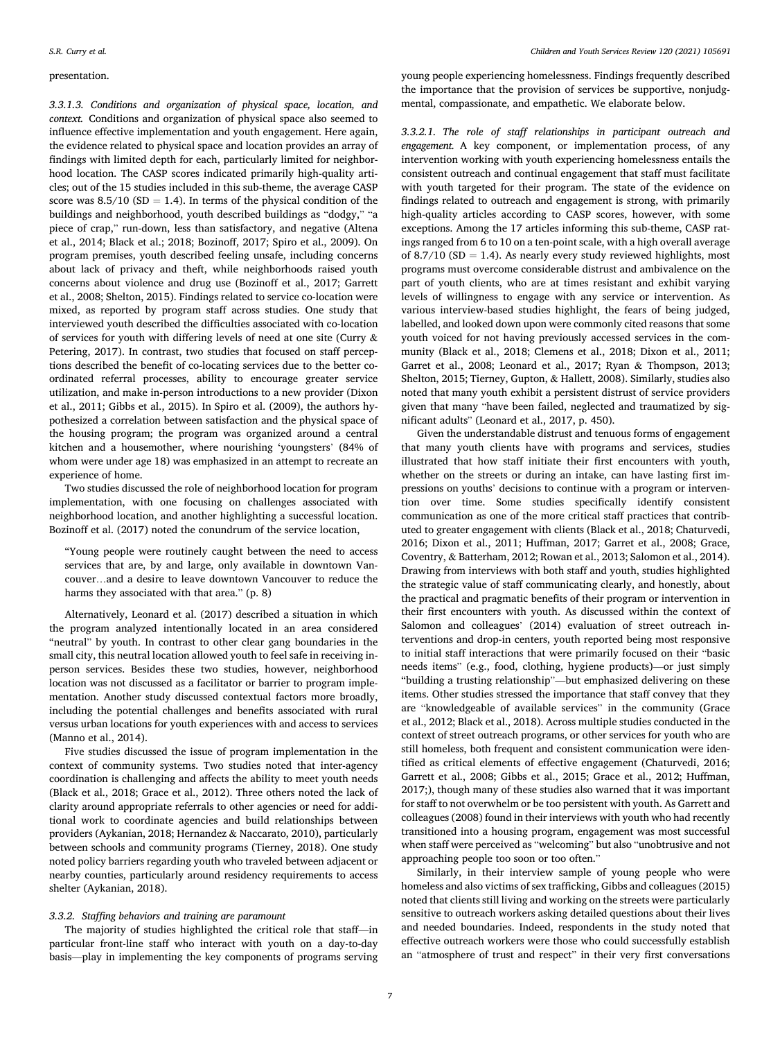# presentation.

*3.3.1.3. Conditions and organization of physical space, location, and context.* Conditions and organization of physical space also seemed to influence effective implementation and youth engagement. Here again, the evidence related to physical space and location provides an array of findings with limited depth for each, particularly limited for neighborhood location. The CASP scores indicated primarily high-quality articles; out of the 15 studies included in this sub-theme, the average CASP score was  $8.5/10$  (SD = 1.4). In terms of the physical condition of the buildings and neighborhood, youth described buildings as "dodgy," "a piece of crap," run-down, less than satisfactory, and negative (Altena et al., 2014; Black et al.; 2018; Bozinoff, 2017; Spiro et al., 2009). On program premises, youth described feeling unsafe, including concerns about lack of privacy and theft, while neighborhoods raised youth concerns about violence and drug use (Bozinoff et al., 2017; Garrett et al., 2008; Shelton, 2015). Findings related to service co-location were mixed, as reported by program staff across studies. One study that interviewed youth described the difficulties associated with co-location of services for youth with differing levels of need at one site (Curry & Petering, 2017). In contrast, two studies that focused on staff perceptions described the benefit of co-locating services due to the better coordinated referral processes, ability to encourage greater service utilization, and make in-person introductions to a new provider (Dixon et al., 2011; Gibbs et al., 2015). In Spiro et al. (2009), the authors hypothesized a correlation between satisfaction and the physical space of the housing program; the program was organized around a central kitchen and a housemother, where nourishing 'youngsters' (84% of whom were under age 18) was emphasized in an attempt to recreate an experience of home.

Two studies discussed the role of neighborhood location for program implementation, with one focusing on challenges associated with neighborhood location, and another highlighting a successful location. Bozinoff et al. (2017) noted the conundrum of the service location,

"Young people were routinely caught between the need to access services that are, by and large, only available in downtown Vancouver…and a desire to leave downtown Vancouver to reduce the harms they associated with that area." (p. 8)

Alternatively, Leonard et al. (2017) described a situation in which the program analyzed intentionally located in an area considered "neutral" by youth. In contrast to other clear gang boundaries in the small city, this neutral location allowed youth to feel safe in receiving inperson services. Besides these two studies, however, neighborhood location was not discussed as a facilitator or barrier to program implementation. Another study discussed contextual factors more broadly, including the potential challenges and benefits associated with rural versus urban locations for youth experiences with and access to services (Manno et al., 2014).

Five studies discussed the issue of program implementation in the context of community systems. Two studies noted that inter-agency coordination is challenging and affects the ability to meet youth needs (Black et al., 2018; Grace et al., 2012). Three others noted the lack of clarity around appropriate referrals to other agencies or need for additional work to coordinate agencies and build relationships between providers (Aykanian, 2018; Hernandez & Naccarato, 2010), particularly between schools and community programs (Tierney, 2018). One study noted policy barriers regarding youth who traveled between adjacent or nearby counties, particularly around residency requirements to access shelter (Aykanian, 2018).

## *3.3.2. Staffing behaviors and training are paramount*

The majority of studies highlighted the critical role that staff—in particular front-line staff who interact with youth on a day-to-day basis—play in implementing the key components of programs serving young people experiencing homelessness. Findings frequently described the importance that the provision of services be supportive, nonjudgmental, compassionate, and empathetic. We elaborate below.

*3.3.2.1. The role of staff relationships in participant outreach and engagement.* A key component, or implementation process, of any intervention working with youth experiencing homelessness entails the consistent outreach and continual engagement that staff must facilitate with youth targeted for their program. The state of the evidence on findings related to outreach and engagement is strong, with primarily high-quality articles according to CASP scores, however, with some exceptions. Among the 17 articles informing this sub-theme, CASP ratings ranged from 6 to 10 on a ten-point scale, with a high overall average of 8.7/10 (SD = 1.4). As nearly every study reviewed highlights, most programs must overcome considerable distrust and ambivalence on the part of youth clients, who are at times resistant and exhibit varying levels of willingness to engage with any service or intervention. As various interview-based studies highlight, the fears of being judged, labelled, and looked down upon were commonly cited reasons that some youth voiced for not having previously accessed services in the community (Black et al., 2018; Clemens et al., 2018; Dixon et al., 2011; Garret et al., 2008; Leonard et al., 2017; Ryan & Thompson, 2013; Shelton, 2015; Tierney, Gupton, & Hallett, 2008). Similarly, studies also noted that many youth exhibit a persistent distrust of service providers given that many "have been failed, neglected and traumatized by significant adults" (Leonard et al., 2017, p. 450).

Given the understandable distrust and tenuous forms of engagement that many youth clients have with programs and services, studies illustrated that how staff initiate their first encounters with youth, whether on the streets or during an intake, can have lasting first impressions on youths' decisions to continue with a program or intervention over time. Some studies specifically identify consistent communication as one of the more critical staff practices that contributed to greater engagement with clients (Black et al., 2018; Chaturvedi, 2016; Dixon et al., 2011; Huffman, 2017; Garret et al., 2008; Grace, Coventry, & Batterham, 2012; Rowan et al., 2013; Salomon et al., 2014). Drawing from interviews with both staff and youth, studies highlighted the strategic value of staff communicating clearly, and honestly, about the practical and pragmatic benefits of their program or intervention in their first encounters with youth. As discussed within the context of Salomon and colleagues' (2014) evaluation of street outreach interventions and drop-in centers, youth reported being most responsive to initial staff interactions that were primarily focused on their "basic needs items" (e.g., food, clothing, hygiene products)—or just simply "building a trusting relationship"—but emphasized delivering on these items. Other studies stressed the importance that staff convey that they are "knowledgeable of available services" in the community (Grace et al., 2012; Black et al., 2018). Across multiple studies conducted in the context of street outreach programs, or other services for youth who are still homeless, both frequent and consistent communication were identified as critical elements of effective engagement (Chaturvedi, 2016; Garrett et al., 2008; Gibbs et al., 2015; Grace et al., 2012; Huffman, 2017;), though many of these studies also warned that it was important for staff to not overwhelm or be too persistent with youth. As Garrett and colleagues (2008) found in their interviews with youth who had recently transitioned into a housing program, engagement was most successful when staff were perceived as "welcoming" but also "unobtrusive and not approaching people too soon or too often."

Similarly, in their interview sample of young people who were homeless and also victims of sex trafficking, Gibbs and colleagues (2015) noted that clients still living and working on the streets were particularly sensitive to outreach workers asking detailed questions about their lives and needed boundaries. Indeed, respondents in the study noted that effective outreach workers were those who could successfully establish an "atmosphere of trust and respect" in their very first conversations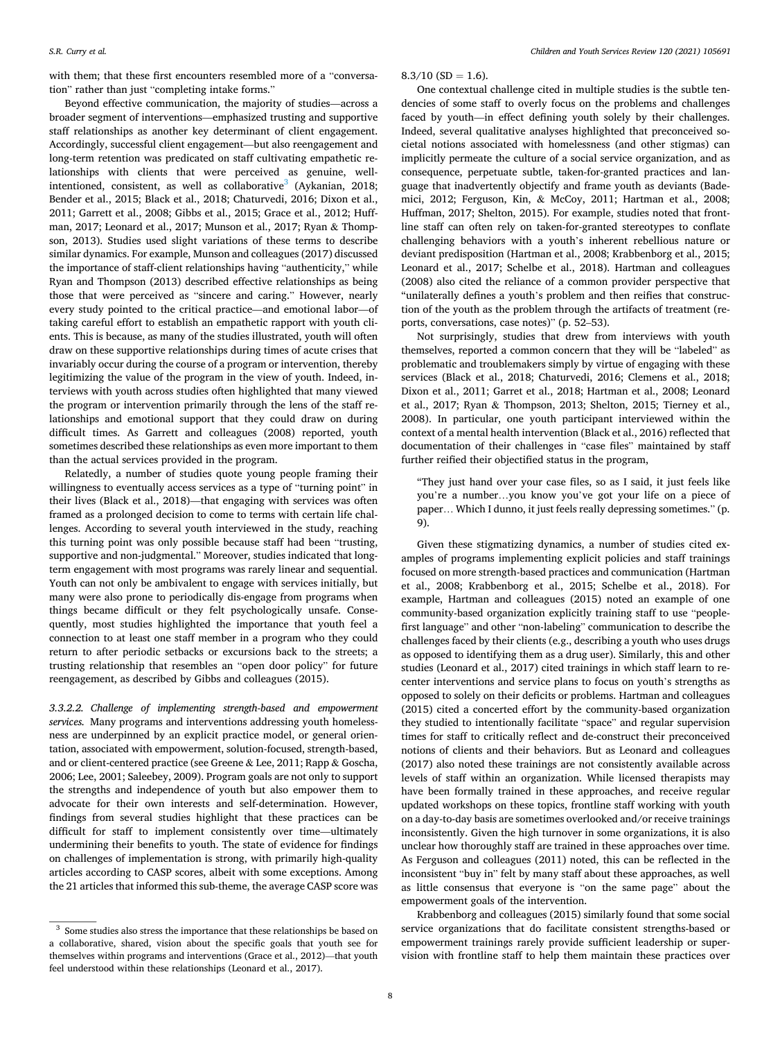with them; that these first encounters resembled more of a "conversation" rather than just "completing intake forms."

Beyond effective communication, the majority of studies—across a broader segment of interventions—emphasized trusting and supportive staff relationships as another key determinant of client engagement. Accordingly, successful client engagement—but also reengagement and long-term retention was predicated on staff cultivating empathetic relationships with clients that were perceived as genuine, wellintentioned, consistent, as well as collaborative<sup>3</sup> (Aykanian, 2018; Bender et al., 2015; Black et al., 2018; Chaturvedi, 2016; Dixon et al., 2011; Garrett et al., 2008; Gibbs et al., 2015; Grace et al., 2012; Huffman, 2017; Leonard et al., 2017; Munson et al., 2017; Ryan & Thompson, 2013). Studies used slight variations of these terms to describe similar dynamics. For example, Munson and colleagues (2017) discussed the importance of staff-client relationships having "authenticity," while Ryan and Thompson (2013) described effective relationships as being those that were perceived as "sincere and caring." However, nearly every study pointed to the critical practice—and emotional labor—of taking careful effort to establish an empathetic rapport with youth clients. This is because, as many of the studies illustrated, youth will often draw on these supportive relationships during times of acute crises that invariably occur during the course of a program or intervention, thereby legitimizing the value of the program in the view of youth. Indeed, interviews with youth across studies often highlighted that many viewed the program or intervention primarily through the lens of the staff relationships and emotional support that they could draw on during difficult times. As Garrett and colleagues (2008) reported, youth sometimes described these relationships as even more important to them than the actual services provided in the program.

Relatedly, a number of studies quote young people framing their willingness to eventually access services as a type of "turning point" in their lives (Black et al., 2018)—that engaging with services was often framed as a prolonged decision to come to terms with certain life challenges. According to several youth interviewed in the study, reaching this turning point was only possible because staff had been "trusting, supportive and non-judgmental." Moreover, studies indicated that longterm engagement with most programs was rarely linear and sequential. Youth can not only be ambivalent to engage with services initially, but many were also prone to periodically dis-engage from programs when things became difficult or they felt psychologically unsafe. Consequently, most studies highlighted the importance that youth feel a connection to at least one staff member in a program who they could return to after periodic setbacks or excursions back to the streets; a trusting relationship that resembles an "open door policy" for future reengagement, as described by Gibbs and colleagues (2015).

*3.3.2.2. Challenge of implementing strength-based and empowerment services.* Many programs and interventions addressing youth homelessness are underpinned by an explicit practice model, or general orientation, associated with empowerment, solution-focused, strength-based, and or client-centered practice (see Greene & Lee, 2011; Rapp & Goscha, 2006; Lee, 2001; Saleebey, 2009). Program goals are not only to support the strengths and independence of youth but also empower them to advocate for their own interests and self-determination. However, findings from several studies highlight that these practices can be difficult for staff to implement consistently over time—ultimately undermining their benefits to youth. The state of evidence for findings on challenges of implementation is strong, with primarily high-quality articles according to CASP scores, albeit with some exceptions. Among the 21 articles that informed this sub-theme, the average CASP score was

 $8.3/10$  (SD = 1.6).

One contextual challenge cited in multiple studies is the subtle tendencies of some staff to overly focus on the problems and challenges faced by youth—in effect defining youth solely by their challenges. Indeed, several qualitative analyses highlighted that preconceived societal notions associated with homelessness (and other stigmas) can implicitly permeate the culture of a social service organization, and as consequence, perpetuate subtle, taken-for-granted practices and language that inadvertently objectify and frame youth as deviants (Bademici, 2012; Ferguson, Kin, & McCoy, 2011; Hartman et al., 2008; Huffman, 2017; Shelton, 2015). For example, studies noted that frontline staff can often rely on taken-for-granted stereotypes to conflate challenging behaviors with a youth's inherent rebellious nature or deviant predisposition (Hartman et al., 2008; Krabbenborg et al., 2015; Leonard et al., 2017; Schelbe et al., 2018). Hartman and colleagues (2008) also cited the reliance of a common provider perspective that "unilaterally defines a youth's problem and then reifies that construction of the youth as the problem through the artifacts of treatment (reports, conversations, case notes)" (p. 52–53).

Not surprisingly, studies that drew from interviews with youth themselves, reported a common concern that they will be "labeled" as problematic and troublemakers simply by virtue of engaging with these services (Black et al., 2018; Chaturvedi, 2016; Clemens et al., 2018; Dixon et al., 2011; Garret et al., 2018; Hartman et al., 2008; Leonard et al., 2017; Ryan & Thompson, 2013; Shelton, 2015; Tierney et al., 2008). In particular, one youth participant interviewed within the context of a mental health intervention (Black et al., 2016) reflected that documentation of their challenges in "case files" maintained by staff further reified their objectified status in the program,

"They just hand over your case files, so as I said, it just feels like you're a number…you know you've got your life on a piece of paper… Which I dunno, it just feels really depressing sometimes." (p. 9).

Given these stigmatizing dynamics, a number of studies cited examples of programs implementing explicit policies and staff trainings focused on more strength-based practices and communication (Hartman et al., 2008; Krabbenborg et al., 2015; Schelbe et al., 2018). For example, Hartman and colleagues (2015) noted an example of one community-based organization explicitly training staff to use "peoplefirst language" and other "non-labeling" communication to describe the challenges faced by their clients (e.g., describing a youth who uses drugs as opposed to identifying them as a drug user). Similarly, this and other studies (Leonard et al., 2017) cited trainings in which staff learn to recenter interventions and service plans to focus on youth's strengths as opposed to solely on their deficits or problems. Hartman and colleagues (2015) cited a concerted effort by the community-based organization they studied to intentionally facilitate "space" and regular supervision times for staff to critically reflect and de-construct their preconceived notions of clients and their behaviors. But as Leonard and colleagues (2017) also noted these trainings are not consistently available across levels of staff within an organization. While licensed therapists may have been formally trained in these approaches, and receive regular updated workshops on these topics, frontline staff working with youth on a day-to-day basis are sometimes overlooked and/or receive trainings inconsistently. Given the high turnover in some organizations, it is also unclear how thoroughly staff are trained in these approaches over time. As Ferguson and colleagues (2011) noted, this can be reflected in the inconsistent "buy in" felt by many staff about these approaches, as well as little consensus that everyone is "on the same page" about the empowerment goals of the intervention.

Krabbenborg and colleagues (2015) similarly found that some social service organizations that do facilitate consistent strengths-based or empowerment trainings rarely provide sufficient leadership or supervision with frontline staff to help them maintain these practices over

 $^3\,$  Some studies also stress the importance that these relationships be based on a collaborative, shared, vision about the specific goals that youth see for themselves within programs and interventions (Grace et al., 2012)—that youth feel understood within these relationships (Leonard et al., 2017).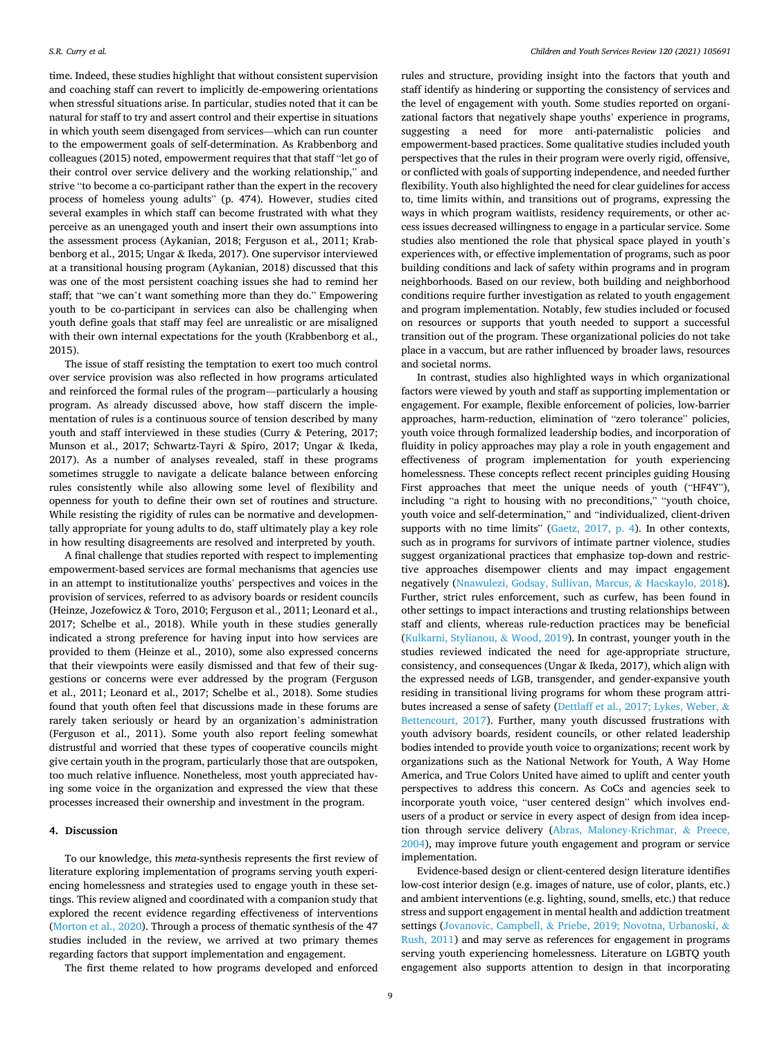time. Indeed, these studies highlight that without consistent supervision and coaching staff can revert to implicitly de-empowering orientations when stressful situations arise. In particular, studies noted that it can be natural for staff to try and assert control and their expertise in situations in which youth seem disengaged from services—which can run counter to the empowerment goals of self-determination. As Krabbenborg and colleagues (2015) noted, empowerment requires that that staff "let go of their control over service delivery and the working relationship," and strive "to become a co-participant rather than the expert in the recovery process of homeless young adults" (p. 474). However, studies cited several examples in which staff can become frustrated with what they perceive as an unengaged youth and insert their own assumptions into the assessment process (Aykanian, 2018; Ferguson et al., 2011; Krabbenborg et al., 2015; Ungar & Ikeda, 2017). One supervisor interviewed at a transitional housing program (Aykanian, 2018) discussed that this was one of the most persistent coaching issues she had to remind her staff; that "we can't want something more than they do." Empowering youth to be co-participant in services can also be challenging when youth define goals that staff may feel are unrealistic or are misaligned with their own internal expectations for the youth (Krabbenborg et al., 2015).

The issue of staff resisting the temptation to exert too much control over service provision was also reflected in how programs articulated and reinforced the formal rules of the program—particularly a housing program. As already discussed above, how staff discern the implementation of rules is a continuous source of tension described by many youth and staff interviewed in these studies (Curry & Petering, 2017; Munson et al., 2017; Schwartz-Tayri & Spiro, 2017; Ungar & Ikeda, 2017). As a number of analyses revealed, staff in these programs sometimes struggle to navigate a delicate balance between enforcing rules consistently while also allowing some level of flexibility and openness for youth to define their own set of routines and structure. While resisting the rigidity of rules can be normative and developmentally appropriate for young adults to do, staff ultimately play a key role in how resulting disagreements are resolved and interpreted by youth.

A final challenge that studies reported with respect to implementing empowerment-based services are formal mechanisms that agencies use in an attempt to institutionalize youths' perspectives and voices in the provision of services, referred to as advisory boards or resident councils (Heinze, Jozefowicz & Toro, 2010; Ferguson et al., 2011; Leonard et al., 2017; Schelbe et al., 2018). While youth in these studies generally indicated a strong preference for having input into how services are provided to them (Heinze et al., 2010), some also expressed concerns that their viewpoints were easily dismissed and that few of their suggestions or concerns were ever addressed by the program (Ferguson et al., 2011; Leonard et al., 2017; Schelbe et al., 2018). Some studies found that youth often feel that discussions made in these forums are rarely taken seriously or heard by an organization's administration (Ferguson et al., 2011). Some youth also report feeling somewhat distrustful and worried that these types of cooperative councils might give certain youth in the program, particularly those that are outspoken, too much relative influence. Nonetheless, most youth appreciated having some voice in the organization and expressed the view that these processes increased their ownership and investment in the program.

# **4. Discussion**

To our knowledge, this *meta*-synthesis represents the first review of literature exploring implementation of programs serving youth experiencing homelessness and strategies used to engage youth in these settings. This review aligned and coordinated with a companion study that explored the recent evidence regarding effectiveness of interventions ([Morton et al., 2020](#page-11-0)). Through a process of thematic synthesis of the 47 studies included in the review, we arrived at two primary themes regarding factors that support implementation and engagement.

The first theme related to how programs developed and enforced

rules and structure, providing insight into the factors that youth and staff identify as hindering or supporting the consistency of services and the level of engagement with youth. Some studies reported on organizational factors that negatively shape youths' experience in programs, suggesting a need for more anti-paternalistic policies and empowerment-based practices. Some qualitative studies included youth perspectives that the rules in their program were overly rigid, offensive, or conflicted with goals of supporting independence, and needed further flexibility. Youth also highlighted the need for clear guidelines for access to, time limits within, and transitions out of programs, expressing the ways in which program waitlists, residency requirements, or other access issues decreased willingness to engage in a particular service. Some studies also mentioned the role that physical space played in youth's experiences with, or effective implementation of programs, such as poor building conditions and lack of safety within programs and in program neighborhoods. Based on our review, both building and neighborhood conditions require further investigation as related to youth engagement and program implementation. Notably, few studies included or focused on resources or supports that youth needed to support a successful transition out of the program. These organizational policies do not take place in a vaccum, but are rather influenced by broader laws, resources and societal norms.

In contrast, studies also highlighted ways in which organizational factors were viewed by youth and staff as supporting implementation or engagement. For example, flexible enforcement of policies, low-barrier approaches, harm-reduction, elimination of "zero tolerance" policies, youth voice through formalized leadership bodies, and incorporation of fluidity in policy approaches may play a role in youth engagement and effectiveness of program implementation for youth experiencing homelessness. These concepts reflect recent principles guiding Housing First approaches that meet the unique needs of youth ("HF4Y"), including "a right to housing with no preconditions," "youth choice, youth voice and self-determination," and "individualized, client-driven supports with no time limits" ([Gaetz, 2017, p. 4\)](#page-10-0). In other contexts, such as in programs for survivors of intimate partner violence, studies suggest organizational practices that emphasize top-down and restrictive approaches disempower clients and may impact engagement negatively ([Nnawulezi, Godsay, Sullivan, Marcus,](#page-11-0) & Hacskaylo, 2018). Further, strict rules enforcement, such as curfew, has been found in other settings to impact interactions and trusting relationships between staff and clients, whereas rule-reduction practices may be beneficial ([Kulkarni, Stylianou,](#page-11-0) & Wood, 2019). In contrast, younger youth in the studies reviewed indicated the need for age-appropriate structure, consistency, and consequences (Ungar & Ikeda, 2017), which align with the expressed needs of LGB, transgender, and gender-expansive youth residing in transitional living programs for whom these program attributes increased a sense of safety [\(Dettlaff et al., 2017; Lykes, Weber,](#page-10-0) & [Bettencourt, 2017\)](#page-10-0). Further, many youth discussed frustrations with youth advisory boards, resident councils, or other related leadership bodies intended to provide youth voice to organizations; recent work by organizations such as the National Network for Youth, A Way Home America, and True Colors United have aimed to uplift and center youth perspectives to address this concern. As CoCs and agencies seek to incorporate youth voice, "user centered design" which involves endusers of a product or service in every aspect of design from idea inception through service delivery [\(Abras, Maloney-Krichmar,](#page-10-0) & Preece, [2004\)](#page-10-0), may improve future youth engagement and program or service implementation.

Evidence-based design or client-centered design literature identifies low-cost interior design (e.g. images of nature, use of color, plants, etc.) and ambient interventions (e.g. lighting, sound, smells, etc.) that reduce stress and support engagement in mental health and addiction treatment settings (Jovanovic, Campbell, & [Priebe, 2019; Novotna, Urbanoski,](#page-11-0) & [Rush, 2011](#page-11-0)) and may serve as references for engagement in programs serving youth experiencing homelessness. Literature on LGBTQ youth engagement also supports attention to design in that incorporating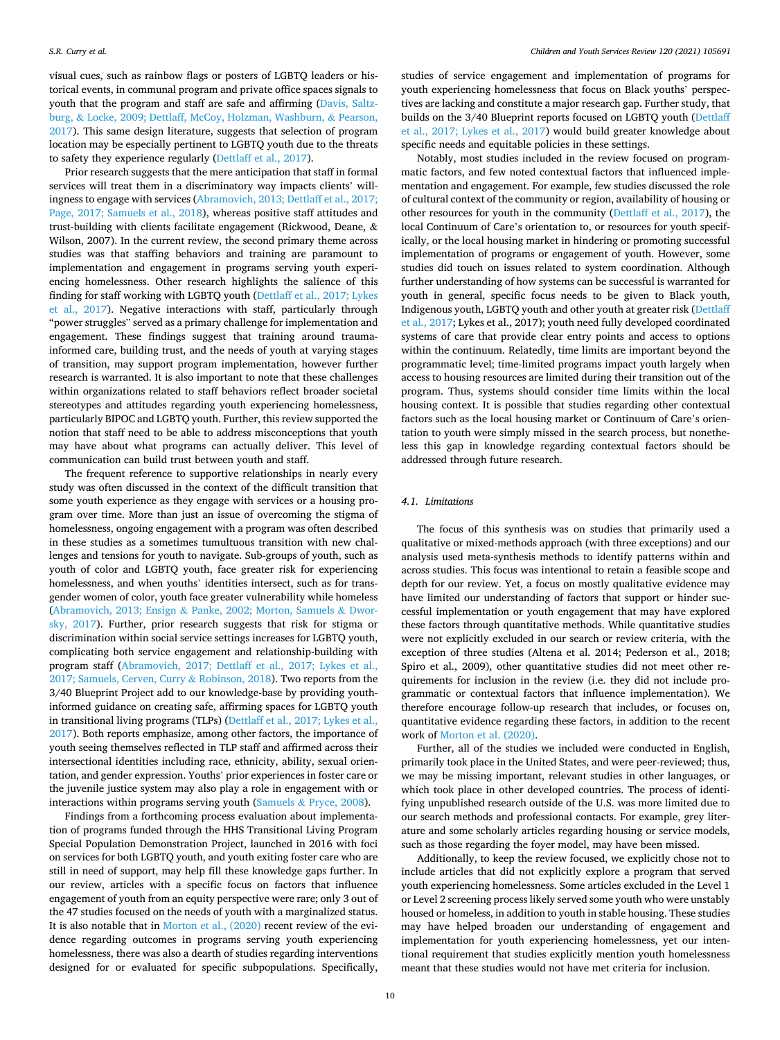visual cues, such as rainbow flags or posters of LGBTQ leaders or historical events, in communal program and private office spaces signals to youth that the program and staff are safe and affirming ([Davis, Saltz](#page-10-0)burg, & [Locke, 2009; Dettlaff, McCoy, Holzman, Washburn,](#page-10-0) & Pearson, [2017\)](#page-10-0). This same design literature, suggests that selection of program location may be especially pertinent to LGBTQ youth due to the threats to safety they experience regularly [\(Dettlaff et al., 2017\)](#page-10-0).

Prior research suggests that the mere anticipation that staff in formal services will treat them in a discriminatory way impacts clients' willingness to engage with services [\(Abramovich, 2013; Dettlaff et al., 2017;](#page-10-0)  [Page, 2017; Samuels et al., 2018\)](#page-10-0), whereas positive staff attitudes and trust-building with clients facilitate engagement (Rickwood, Deane, & Wilson, 2007). In the current review, the second primary theme across studies was that staffing behaviors and training are paramount to implementation and engagement in programs serving youth experiencing homelessness. Other research highlights the salience of this finding for staff working with LGBTQ youth [\(Dettlaff et al., 2017; Lykes](#page-10-0)  [et al., 2017\)](#page-10-0). Negative interactions with staff, particularly through "power struggles" served as a primary challenge for implementation and engagement. These findings suggest that training around traumainformed care, building trust, and the needs of youth at varying stages of transition, may support program implementation, however further research is warranted. It is also important to note that these challenges within organizations related to staff behaviors reflect broader societal stereotypes and attitudes regarding youth experiencing homelessness, particularly BIPOC and LGBTQ youth. Further, this review supported the notion that staff need to be able to address misconceptions that youth may have about what programs can actually deliver. This level of communication can build trust between youth and staff.

The frequent reference to supportive relationships in nearly every study was often discussed in the context of the difficult transition that some youth experience as they engage with services or a housing program over time. More than just an issue of overcoming the stigma of homelessness, ongoing engagement with a program was often described in these studies as a sometimes tumultuous transition with new challenges and tensions for youth to navigate. Sub-groups of youth, such as youth of color and LGBTQ youth, face greater risk for experiencing homelessness, and when youths' identities intersect, such as for transgender women of color, youth face greater vulnerability while homeless (Abramovich, 2013; Ensign & [Panke, 2002; Morton, Samuels](#page-10-0) & Dwor[sky, 2017\)](#page-10-0). Further, prior research suggests that risk for stigma or discrimination within social service settings increases for LGBTQ youth, complicating both service engagement and relationship-building with program staff ([Abramovich, 2017; Dettlaff et al., 2017; Lykes et al.,](#page-10-0)  [2017; Samuels, Cerven, Curry](#page-10-0) & Robinson, 2018). Two reports from the 3/40 Blueprint Project add to our knowledge-base by providing youthinformed guidance on creating safe, affirming spaces for LGBTQ youth in transitional living programs (TLPs) ([Dettlaff et al., 2017; Lykes et al.,](#page-10-0)  [2017\)](#page-10-0). Both reports emphasize, among other factors, the importance of youth seeing themselves reflected in TLP staff and affirmed across their intersectional identities including race, ethnicity, ability, sexual orientation, and gender expression. Youths' prior experiences in foster care or the juvenile justice system may also play a role in engagement with or interactions within programs serving youth (Samuels & [Pryce, 2008](#page-11-0)).

Findings from a forthcoming process evaluation about implementation of programs funded through the HHS Transitional Living Program Special Population Demonstration Project, launched in 2016 with foci on services for both LGBTQ youth, and youth exiting foster care who are still in need of support, may help fill these knowledge gaps further. In our review, articles with a specific focus on factors that influence engagement of youth from an equity perspective were rare; only 3 out of the 47 studies focused on the needs of youth with a marginalized status. It is also notable that in [Morton et al., \(2020\)](#page-11-0) recent review of the evidence regarding outcomes in programs serving youth experiencing homelessness, there was also a dearth of studies regarding interventions designed for or evaluated for specific subpopulations. Specifically,

studies of service engagement and implementation of programs for youth experiencing homelessness that focus on Black youths' perspectives are lacking and constitute a major research gap. Further study, that builds on the 3/40 Blueprint reports focused on LGBTQ youth [\(Dettlaff](#page-10-0)  [et al., 2017; Lykes et al., 2017\)](#page-10-0) would build greater knowledge about specific needs and equitable policies in these settings.

Notably, most studies included in the review focused on programmatic factors, and few noted contextual factors that influenced implementation and engagement. For example, few studies discussed the role of cultural context of the community or region, availability of housing or other resources for youth in the community ([Dettlaff et al., 2017\)](#page-10-0), the local Continuum of Care's orientation to, or resources for youth specifically, or the local housing market in hindering or promoting successful implementation of programs or engagement of youth. However, some studies did touch on issues related to system coordination. Although further understanding of how systems can be successful is warranted for youth in general, specific focus needs to be given to Black youth, Indigenous youth, LGBTQ youth and other youth at greater risk [\(Dettlaff](#page-10-0)  [et al., 2017;](#page-10-0) Lykes et al., 2017); youth need fully developed coordinated systems of care that provide clear entry points and access to options within the continuum. Relatedly, time limits are important beyond the programmatic level; time-limited programs impact youth largely when access to housing resources are limited during their transition out of the program. Thus, systems should consider time limits within the local housing context. It is possible that studies regarding other contextual factors such as the local housing market or Continuum of Care's orientation to youth were simply missed in the search process, but nonetheless this gap in knowledge regarding contextual factors should be addressed through future research.

# *4.1. Limitations*

The focus of this synthesis was on studies that primarily used a qualitative or mixed-methods approach (with three exceptions) and our analysis used meta-synthesis methods to identify patterns within and across studies. This focus was intentional to retain a feasible scope and depth for our review. Yet, a focus on mostly qualitative evidence may have limited our understanding of factors that support or hinder successful implementation or youth engagement that may have explored these factors through quantitative methods. While quantitative studies were not explicitly excluded in our search or review criteria, with the exception of three studies (Altena et al. 2014; Pederson et al., 2018; Spiro et al., 2009), other quantitative studies did not meet other requirements for inclusion in the review (i.e. they did not include programmatic or contextual factors that influence implementation). We therefore encourage follow-up research that includes, or focuses on, quantitative evidence regarding these factors, in addition to the recent work of [Morton et al. \(2020\).](#page-11-0)

Further, all of the studies we included were conducted in English, primarily took place in the United States, and were peer-reviewed; thus, we may be missing important, relevant studies in other languages, or which took place in other developed countries. The process of identifying unpublished research outside of the U.S. was more limited due to our search methods and professional contacts. For example, grey literature and some scholarly articles regarding housing or service models, such as those regarding the foyer model, may have been missed.

Additionally, to keep the review focused, we explicitly chose not to include articles that did not explicitly explore a program that served youth experiencing homelessness. Some articles excluded in the Level 1 or Level 2 screening process likely served some youth who were unstably housed or homeless, in addition to youth in stable housing. These studies may have helped broaden our understanding of engagement and implementation for youth experiencing homelessness, yet our intentional requirement that studies explicitly mention youth homelessness meant that these studies would not have met criteria for inclusion.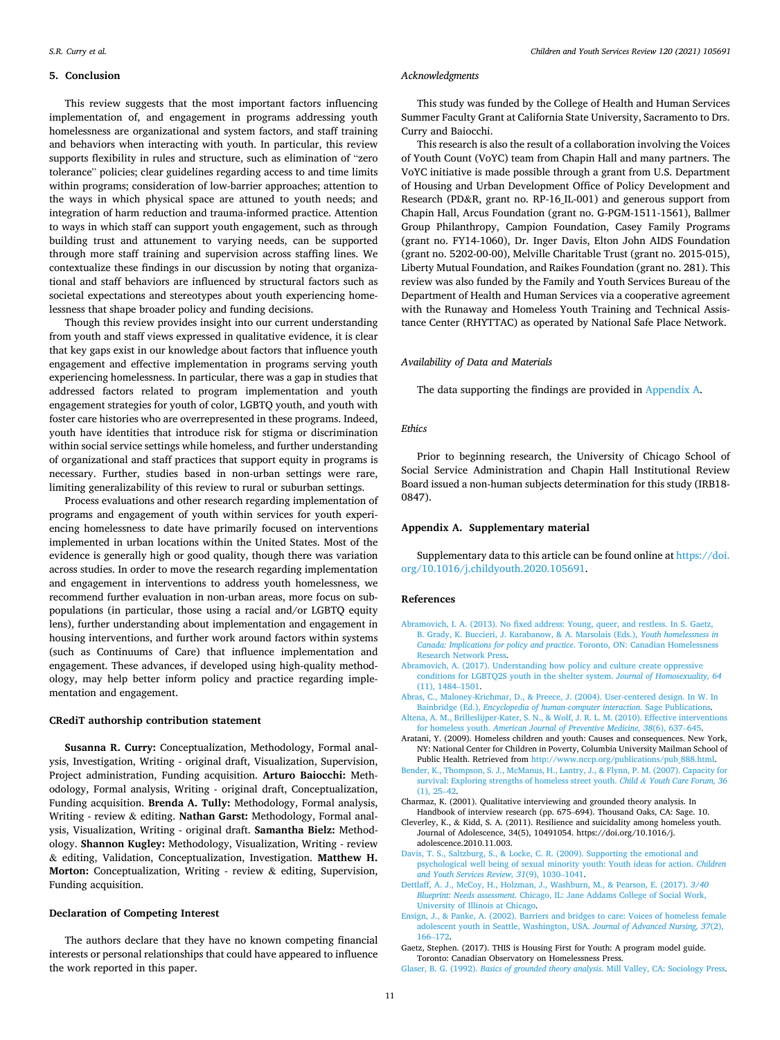## <span id="page-10-0"></span>**5. Conclusion**

This review suggests that the most important factors influencing implementation of, and engagement in programs addressing youth homelessness are organizational and system factors, and staff training and behaviors when interacting with youth. In particular, this review supports flexibility in rules and structure, such as elimination of "zero tolerance" policies; clear guidelines regarding access to and time limits within programs; consideration of low-barrier approaches; attention to the ways in which physical space are attuned to youth needs; and integration of harm reduction and trauma-informed practice. Attention to ways in which staff can support youth engagement, such as through building trust and attunement to varying needs, can be supported through more staff training and supervision across staffing lines. We contextualize these findings in our discussion by noting that organizational and staff behaviors are influenced by structural factors such as societal expectations and stereotypes about youth experiencing homelessness that shape broader policy and funding decisions.

Though this review provides insight into our current understanding from youth and staff views expressed in qualitative evidence, it is clear that key gaps exist in our knowledge about factors that influence youth engagement and effective implementation in programs serving youth experiencing homelessness. In particular, there was a gap in studies that addressed factors related to program implementation and youth engagement strategies for youth of color, LGBTQ youth, and youth with foster care histories who are overrepresented in these programs. Indeed, youth have identities that introduce risk for stigma or discrimination within social service settings while homeless, and further understanding of organizational and staff practices that support equity in programs is necessary. Further, studies based in non-urban settings were rare, limiting generalizability of this review to rural or suburban settings.

Process evaluations and other research regarding implementation of programs and engagement of youth within services for youth experiencing homelessness to date have primarily focused on interventions implemented in urban locations within the United States. Most of the evidence is generally high or good quality, though there was variation across studies. In order to move the research regarding implementation and engagement in interventions to address youth homelessness, we recommend further evaluation in non-urban areas, more focus on subpopulations (in particular, those using a racial and/or LGBTQ equity lens), further understanding about implementation and engagement in housing interventions, and further work around factors within systems (such as Continuums of Care) that influence implementation and engagement. These advances, if developed using high-quality methodology, may help better inform policy and practice regarding implementation and engagement.

# **CRediT authorship contribution statement**

**Susanna R. Curry:** Conceptualization, Methodology, Formal analysis, Investigation, Writing - original draft, Visualization, Supervision, Project administration, Funding acquisition. **Arturo Baiocchi:** Methodology, Formal analysis, Writing - original draft, Conceptualization, Funding acquisition. **Brenda A. Tully:** Methodology, Formal analysis, Writing - review & editing. **Nathan Garst:** Methodology, Formal analysis, Visualization, Writing - original draft. **Samantha Bielz:** Methodology. **Shannon Kugley:** Methodology, Visualization, Writing - review & editing, Validation, Conceptualization, Investigation. **Matthew H. Morton:** Conceptualization, Writing - review & editing, Supervision, Funding acquisition.

# **Declaration of Competing Interest**

The authors declare that they have no known competing financial interests or personal relationships that could have appeared to influence the work reported in this paper.

#### *Acknowledgments*

This study was funded by the College of Health and Human Services Summer Faculty Grant at California State University, Sacramento to Drs. Curry and Baiocchi.

This research is also the result of a collaboration involving the Voices of Youth Count (VoYC) team from Chapin Hall and many partners. The VoYC initiative is made possible through a grant from U.S. Department of Housing and Urban Development Office of Policy Development and Research (PD&R, grant no. RP-16\_IL-001) and generous support from Chapin Hall, Arcus Foundation (grant no. G-PGM-1511-1561), Ballmer Group Philanthropy, Campion Foundation, Casey Family Programs (grant no. FY14-1060), Dr. Inger Davis, Elton John AIDS Foundation (grant no. 5202-00-00), Melville Charitable Trust (grant no. 2015-015), Liberty Mutual Foundation, and Raikes Foundation (grant no. 281). This review was also funded by the Family and Youth Services Bureau of the Department of Health and Human Services via a cooperative agreement with the Runaway and Homeless Youth Training and Technical Assistance Center (RHYTTAC) as operated by National Safe Place Network.

#### *Availability of Data and Materials*

The data supporting the findings are provided in Appendix A.

## *Ethics*

Prior to beginning research, the University of Chicago School of Social Service Administration and Chapin Hall Institutional Review Board issued a non-human subjects determination for this study (IRB18- 0847).

#### **Appendix A. Supplementary material**

Supplementary data to this article can be found online at [https://doi.](https://doi.org/10.1016/j.childyouth.2020.105691)  [org/10.1016/j.childyouth.2020.105691](https://doi.org/10.1016/j.childyouth.2020.105691).

#### **References**

- [Abramovich, I. A. \(2013\). No fixed address: Young, queer, and restless. In S. Gaetz,](http://refhub.elsevier.com/S0190-7409(20)32114-9/h0005)  [B. Grady, K. Buccieri, J. Karabanow, & A. Marsolais \(Eds.\),](http://refhub.elsevier.com/S0190-7409(20)32114-9/h0005) *Youth homelessness in [Canada: Implications for policy and practice](http://refhub.elsevier.com/S0190-7409(20)32114-9/h0005)*. Toronto, ON: Canadian Homelessness [Research Network Press.](http://refhub.elsevier.com/S0190-7409(20)32114-9/h0005)
- [Abramovich, A. \(2017\). Understanding how policy and culture create oppressive](http://refhub.elsevier.com/S0190-7409(20)32114-9/h0010)  [conditions for LGBTQ2S youth in the shelter system.](http://refhub.elsevier.com/S0190-7409(20)32114-9/h0010) *Journal of Homosexuality, 64*  [\(11\), 1484](http://refhub.elsevier.com/S0190-7409(20)32114-9/h0010)–1501.
- [Abras, C., Maloney-Krichmar, D., & Preece, J. \(2004\). User-centered design. In W. In](http://refhub.elsevier.com/S0190-7409(20)32114-9/h0015)  Bainbridge (Ed.), *[Encyclopedia of human-computer interaction](http://refhub.elsevier.com/S0190-7409(20)32114-9/h0015)*. Sage Publications.
- [Altena, A. M., Brilleslijper-Kater, S. N., & Wolf, J. R. L. M. \(2010\). Effective interventions](http://refhub.elsevier.com/S0190-7409(20)32114-9/h0020)  for homeless youth. *[American Journal of Preventive Medicine, 38](http://refhub.elsevier.com/S0190-7409(20)32114-9/h0020)*(6), 637–645.
- Aratani, Y. (2009). Homeless children and youth: Causes and consequences. New York, NY: National Center for Children in Poverty, Columbia University Mailman School of Public Health. Retrieved from [http://www.nccp.org/publications/pub\\_888.html.](http://www.nccp.org/publications/pub_888.html)
- [Bender, K., Thompson, S. J., McManus, H., Lantry, J., & Flynn, P. M. \(2007\). Capacity for](http://refhub.elsevier.com/S0190-7409(20)32114-9/h0030)  [survival: Exploring strengths of homeless street youth.](http://refhub.elsevier.com/S0190-7409(20)32114-9/h0030) *Child & Youth Care Forum, 36*  [\(1\), 25](http://refhub.elsevier.com/S0190-7409(20)32114-9/h0030)–42.
- Charmaz, K. (2001). Qualitative interviewing and grounded theory analysis. In Handbook of interview research (pp. 675–694). Thousand Oaks, CA: Sage. 10.
- Cleverley, K., & Kidd, S. A. (2011). Resilience and suicidality among homeless youth. Journal of Adolescence, 34(5), 10491054. https://doi.org/10.1016/j. adolescence.2010.11.003.
- [Davis, T. S., Saltzburg, S., & Locke, C. R. \(2009\). Supporting the emotional and](http://refhub.elsevier.com/S0190-7409(20)32114-9/h0080) [psychological well being of sexual minority youth: Youth ideas for action.](http://refhub.elsevier.com/S0190-7409(20)32114-9/h0080) *Children [and Youth Services Review, 31](http://refhub.elsevier.com/S0190-7409(20)32114-9/h0080)*(9), 1030–1041.
- [Dettlaff, A. J., McCoy, H., Holzman, J., Washburn, M., & Pearson, E. \(2017\).](http://refhub.elsevier.com/S0190-7409(20)32114-9/h0085) *3/40 Blueprint: Needs assessment*[. Chicago, IL: Jane Addams College of Social Work,](http://refhub.elsevier.com/S0190-7409(20)32114-9/h0085)  [University of Illinois at Chicago](http://refhub.elsevier.com/S0190-7409(20)32114-9/h0085).
- [Ensign, J., & Panke, A. \(2002\). Barriers and bridges to care: Voices of homeless female](http://refhub.elsevier.com/S0190-7409(20)32114-9/h0105)  [adolescent youth in Seattle, Washington, USA.](http://refhub.elsevier.com/S0190-7409(20)32114-9/h0105) *Journal of Advanced Nursing, 37*(2), 166–[172](http://refhub.elsevier.com/S0190-7409(20)32114-9/h0105).
- Gaetz, Stephen. (2017). THIS is Housing First for Youth: A program model guide. Toronto: Canadian Observatory on Homelessness Press.
- Glaser, B. G. (1992). *Basics of grounded theory analysis*[. Mill Valley, CA: Sociology Press.](http://refhub.elsevier.com/S0190-7409(20)32114-9/h0130)